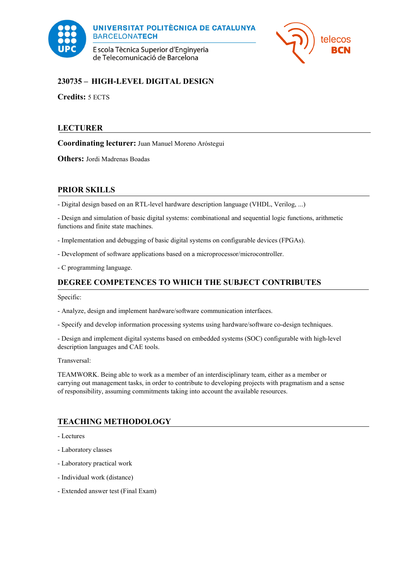



# **230735 – HIGH-LEVEL DIGITAL DESIGN**

**Credits:** 5 ECTS

## **LECTURER**

**Coordinating lecturer:** Juan Manuel Moreno Aróstegui

**Others:** Jordi Madrenas Boadas

## **PRIOR SKILLS**

- Digital design based on an RTL-level hardware description language (VHDL, Verilog, ...)

- Design and simulation of basic digital systems: combinational and sequential logic functions, arithmetic functions and finite state machines.

- Implementation and debugging of basic digital systems on configurable devices (FPGAs).

- Development of software applications based on a microprocessor/microcontroller.

- C programming language.

## **DEGREE COMPETENCES TO WHICH THE SUBJECT CONTRIBUTES**

Specific:

- Analyze, design and implement hardware/software communication interfaces.

- Specify and develop information processing systems using hardware/software co-design techniques.

- Design and implement digital systems based on embedded systems (SOC) configurable with high-level description languages and CAE tools.

Transversal:

TEAMWORK. Being able to work as a member of an interdisciplinary team, either as a member or carrying out management tasks, in order to contribute to developing projects with pragmatism and a sense of responsibility, assuming commitments taking into account the available resources.

## **TEACHING METHODOLOGY**

- Lectures
- Laboratory classes
- Laboratory practical work
- Individual work (distance)
- Extended answer test (Final Exam)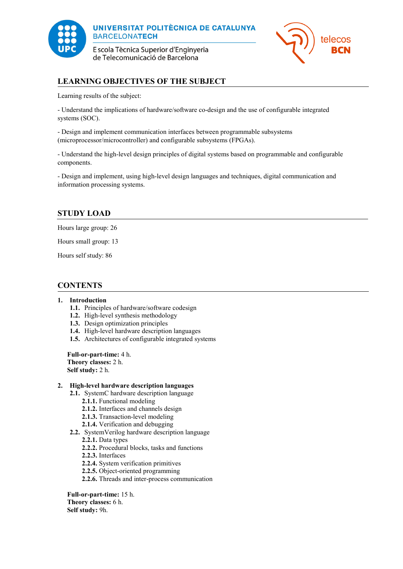



# **LEARNING OBJECTIVES OF THE SUBJECT**

Learning results of the subject:

- Understand the implications of hardware/software co-design and the use of configurable integrated systems (SOC).

- Design and implement communication interfaces between programmable subsystems (microprocessor/microcontroller) and configurable subsystems (FPGAs).

- Understand the high-level design principles of digital systems based on programmable and configurable components.

- Design and implement, using high-level design languages and techniques, digital communication and information processing systems.

# **STUDY LOAD**

Hours large group: 26

Hours small group: 13

Hours self study: 86

## **CONTENTS**

#### **1. Introduction**

- **1.1.** Principles of hardware/software codesign
- **1.2.** High-level synthesis methodology
- **1.3.** Design optimization principles
- **1.4.** High-level hardware description languages
- **1.5.** Architectures of configurable integrated systems

**Full-or-part-time:** 4 h. **Theory classes:** 2 h. **Self study:** 2 h.

#### **2. High-level hardware description languages**

- **2.1.** SystemC hardware description language
	- **2.1.1.** Functional modeling
	- **2.1.2.** Interfaces and channels design
	- **2.1.3.** Transaction-level modeling
	- **2.1.4.** Verification and debugging
- **2.2.** SystemVerilog hardware description language
	- **2.2.1.** Data types
	- **2.2.2.** Procedural blocks, tasks and functions
	- **2.2.3.** Interfaces
	- **2.2.4.** System verification primitives
	- **2.2.5.** Object-oriented programming
	- **2.2.6.** Threads and inter-process communication

**Full-or-part-time:** 15 h.

**Theory classes:** 6 h. **Self study:** 9h.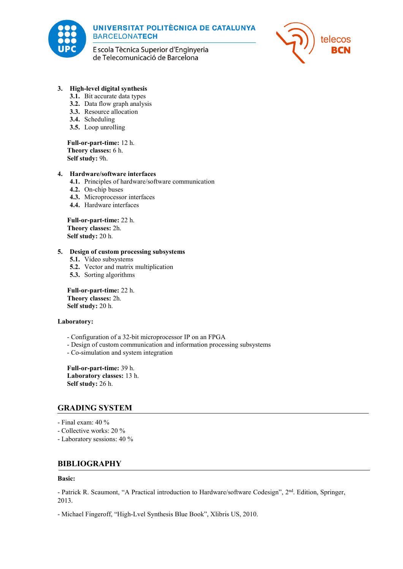



### **3. High-level digital synthesis**

- **3.1.** Bit accurate data types
- **3.2.** Data flow graph analysis
- **3.3.** Resource allocation
- **3.4.** Scheduling
- **3.5.** Loop unrolling

**Full-or-part-time:** 12 h. **Theory classes:** 6 h. **Self study:** 9h.

### **4. Hardware/software interfaces**

- **4.1.** Principles of hardware/software communication
- **4.2.** On-chip buses
- **4.3.** Microprocessor interfaces
- **4.4.** Hardware interfaces

**Full-or-part-time:** 22 h. **Theory classes:** 2h. **Self study:** 20 h.

### **5. Design of custom processing subsystems**

- **5.1.** Video subsystems
- **5.2.** Vector and matrix multiplication
- **5.3.** Sorting algorithms

**Full-or-part-time:** 22 h. **Theory classes:** 2h. **Self study:** 20 h.

#### **Laboratory:**

- Configuration of a 32-bit microprocessor IP on an FPGA
- Design of custom communication and information processing subsystems
- Co-simulation and system integration

**Full-or-part-time:** 39 h. **Laboratory classes:** 13 h. **Self study:** 26 h.

## **GRADING SYSTEM**

- Final exam: 40 %
- Collective works: 20 %

- Laboratory sessions: 40 %

## **BIBLIOGRAPHY**

#### **Basic:**

- Patrick R. Scaumont, "A Practical introduction to Hardware/software Codesign", 2<sup>nd</sup>. Edition, Springer, 2013.

- Michael Fingeroff, "High-Lvel Synthesis Blue Book", Xlibris US, 2010.